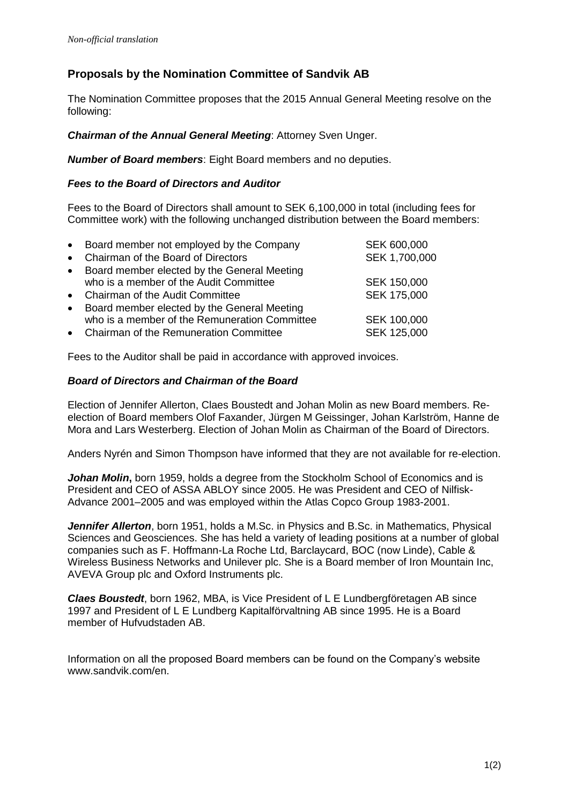## **Proposals by the Nomination Committee of Sandvik AB**

The Nomination Committee proposes that the 2015 Annual General Meeting resolve on the following:

*Chairman of the Annual General Meeting*: Attorney Sven Unger.

*Number of Board members*: Eight Board members and no deputies.

## *Fees to the Board of Directors and Auditor*

Fees to the Board of Directors shall amount to SEK 6,100,000 in total (including fees for Committee work) with the following unchanged distribution between the Board members:

|           | • Board member not employed by the Company    | SEK 600,000   |
|-----------|-----------------------------------------------|---------------|
|           | • Chairman of the Board of Directors          | SEK 1,700,000 |
| $\bullet$ | Board member elected by the General Meeting   |               |
|           | who is a member of the Audit Committee        | SEK 150,000   |
|           | • Chairman of the Audit Committee             | SEK 175,000   |
| $\bullet$ | Board member elected by the General Meeting   |               |
|           | who is a member of the Remuneration Committee | SEK 100,000   |
|           | • Chairman of the Remuneration Committee      | SEK 125,000   |

Fees to the Auditor shall be paid in accordance with approved invoices.

## *Board of Directors and Chairman of the Board*

Election of Jennifer Allerton, Claes Boustedt and Johan Molin as new Board members. Reelection of Board members Olof Faxander, Jürgen M Geissinger, Johan Karlström, Hanne de Mora and Lars Westerberg. Election of Johan Molin as Chairman of the Board of Directors.

Anders Nyrén and Simon Thompson have informed that they are not available for re-election.

*Johan Molin***,** born 1959, holds a degree from the Stockholm School of Economics and is President and CEO of ASSA ABLOY since 2005. He was President and CEO of Nilfisk-Advance 2001–2005 and was employed within the Atlas Copco Group 1983-2001.

*Jennifer Allerton*, born 1951, holds a M.Sc. in Physics and B.Sc. in Mathematics, Physical Sciences and Geosciences. She has held a variety of leading positions at a number of global companies such as F. Hoffmann-La Roche Ltd, Barclaycard, BOC (now Linde), Cable & Wireless Business Networks and Unilever plc. She is a Board member of Iron Mountain Inc, AVEVA Group plc and Oxford Instruments plc.

*Claes Boustedt*, born 1962, MBA, is Vice President of L E Lundbergföretagen AB since 1997 and President of L E Lundberg Kapitalförvaltning AB since 1995. He is a Board member of Hufvudstaden AB.

Information on all the proposed Board members can be found on the Company's website www.sandvik.com/en.